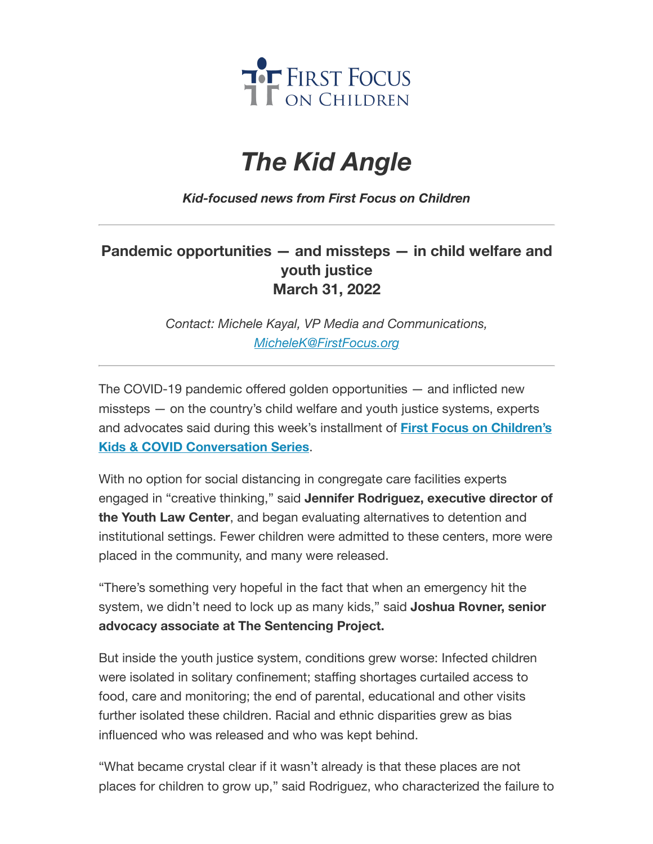

## *The Kid Angle*

*Kid-focused news from First Focus on Children*

## **Pandemic opportunities — and missteps — in child welfare and youth justice March 31, 2022**

*Contact: Michele Kayal, VP Media and Communications, [MicheleK@FirstFocus.org](mailto:MicheleK@firstfocus.org)*

The COVID-19 pandemic offered golden opportunities — and inflicted new missteps — on the country's child welfare and youth justice systems, experts and advocates said during [this week's installment](https://join.firstfocus.org/kidsandcovid?e=6d50ef9bac605c372bd31a2e7c9cacfd&utm_source=ffcc&utm_medium=email&utm_campaign=_94_supporters&n=2&test_email=1) of **First Focus on Children's Kids & COVID Conversation Series**.

With no option for social distancing in congregate care facilities experts engaged in "creative thinking," said **Jennifer Rodriguez, executive director of the Youth Law Center**, and began evaluating alternatives to detention and institutional settings. Fewer children were admitted to these centers, more were placed in the community, and many were released.

"There's something very hopeful in the fact that when an emergency hit the system, we didn't need to lock up as many kids," said **Joshua Rovner, senior advocacy associate at The Sentencing Project.**

But inside the youth justice system, conditions grew worse: Infected children were isolated in solitary confinement; staffing shortages curtailed access to food, care and monitoring; the end of parental, educational and other visits further isolated these children. Racial and ethnic disparities grew as bias influenced who was released and who was kept behind.

"What became crystal clear if it wasn't already is that these places are not places for children to grow up," said Rodriguez, who characterized the failure to